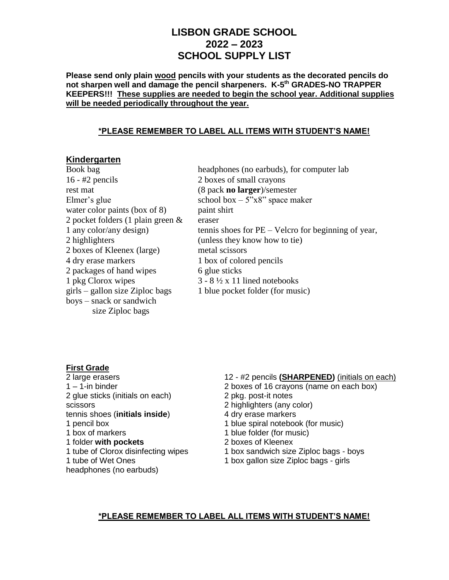# **LISBON GRADE SCHOOL 2022 – 2023 SCHOOL SUPPLY LIST**

**Please send only plain wood pencils with your students as the decorated pencils do not sharpen well and damage the pencil sharpeners. K-5 th GRADES-NO TRAPPER KEEPERS!!! These supplies are needed to begin the school year. Additional supplies will be needed periodically throughout the year.** 

#### **\*PLEASE REMEMBER TO LABEL ALL ITEMS WITH STUDENT'S NAME!**

# **Kindergarten**

16 - #2 pencils 2 boxes of small crayons rest mat (8 pack **no larger**)/semester Elmer's glue  $\text{school box} - 5\text{``x8''} \text{ space maker}$ water color paints (box of 8) paint shirt 2 pocket folders  $(1$  plain green  $\&$  eraser 2 highlighters (unless they know how to tie) 2 boxes of Kleenex (large) metal scissors 4 dry erase markers 1 box of colored pencils 2 packages of hand wipes 6 glue sticks 1 pkg Clorox wipes  $3 - 8 \frac{1}{2} x 11$  lined notebooks  $\text{girls}$  – gallon size Ziploc bags 1 blue pocket folder (for music) boys – snack or sandwich size Ziploc bags

Book bag headphones (no earbuds), for computer lab 1 any color/any design) tennis shoes for PE – Velcro for beginning of year,

# **First Grade**

2 glue sticks (initials on each) 2 pkg. post-it notes scissors 2 highlighters (any color) tennis shoes (**initials inside**) 4 dry erase markers 1 pencil box 1 blue spiral notebook (for music) 1 box of markers 1 blue folder (for music) 1 folder **with pockets** 2 boxes of Kleenex 1 tube of Clorox disinfecting wipes 1 box sandwich size Ziploc bags - boys headphones (no earbuds)

2 large erasers 12 - #2 pencils **(SHARPENED)** (initials on each)

- 1 1-in binder 2 boxes of 16 crayons (name on each box)
	-
	-
	-
	-
	-
	-
	-
- 1 tube of Wet Ones 1 box gallon size Ziploc bags girls

#### **\*PLEASE REMEMBER TO LABEL ALL ITEMS WITH STUDENT'S NAME!**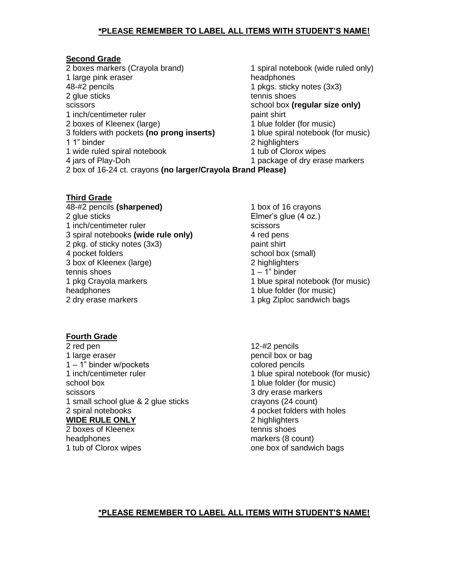## **\*PLEASE REMEMBER TO LABEL ALL ITEMS WITH STUDENT'S NAME!**

#### **Second Grade**

2 boxes markers (Crayola brand) 1 spiral notebook (wide ruled only) 1 large pink eraser headphones 48-#2 pencils 1 pkgs. sticky notes (3x3) 2 glue sticks tennis shoes scissors school box **(regular size only)** 1 inch/centimeter ruler<br>
2 boxes of Kleenex (large) example and the paint shirt paint shirt and the 1 blue folder (for music) 2 boxes of Kleenex (large)<br>3 folders with pockets (no prong inserts) 1 blue spiral notebook (for music) 3 folders with pockets (no prong inserts) 1 1" binder 2 highlighters 1 wide ruled spiral notebook 1 tub of Clorox wipes 4 jars of Play-Doh 1 package of dry erase markers 2 box of 16-24 ct. crayons **(no larger/Crayola Brand Please)**

**Third Grade**

48-#2 pencils **(sharpened)** 1 box of 16 crayons 2 glue sticks Elmer's glue (4 oz.) 1 inch/centimeter ruler scissors scissors 3 spiral notebooks **(wide rule only)** 4 red pens 2 pkg. of sticky notes (3x3) paint shirt 4 pocket folders school box (small) 3 box of Kleenex (large) 2 highlighters 2 highlighters 2 highlighters 2 highlighters tennis shoes 1 pkg Crayola markers 1 blue spiral notebook (for music) headphones 1 blue folder (for music) 2 dry erase markers 1 pkg Ziploc sandwich bags

**Fourth Grade**

2 red pen 12-#2 pencils 1 large eraser pencil box or bag 1 – 1" binder w/pockets colored pencils 1 inch/centimeter ruler 1 blue spiral notebook (for music) school box 1 blue folder (for music) scissors 3 dry erase markers 1 small school glue & 2 glue sticks crayons (24 count)<br>2 spiral notebooks 4 pocket folders with **WIDE RULE ONLY** 2 highlighters 2 boxes of Kleenex tennis shoes

headphones markers (8 count)

- 
- 

4 pocket folders with holes 1 tub of Clorox wipes **one box of sandwich bags** 

#### **\*PLEASE REMEMBER TO LABEL ALL ITEMS WITH STUDENT'S NAME!**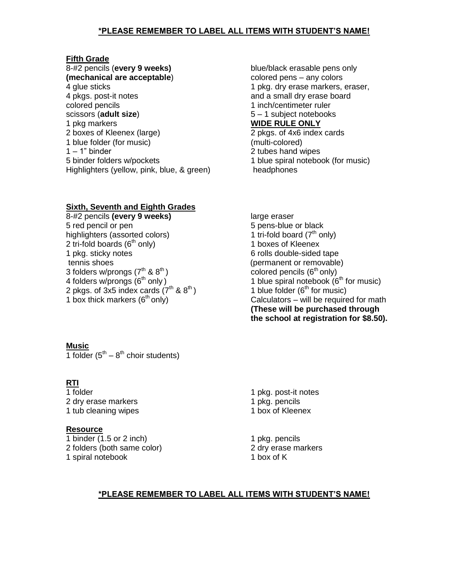## **\*PLEASE REMEMBER TO LABEL ALL ITEMS WITH STUDENT'S NAME!**

#### **Fifth Grade**

8-#2 pencils (**every 9 weeks)** blue/black erasable pens only **(mechanical are acceptable)** colored pens – any colors 4 glue sticks 1 pkg. dry erase markers, eraser, 4 pkgs. post-it notes and a small dry erase board colored pencils and the colored pencils and the colored pencils of the colored pencils of the colored pencils scissors (**adult size**) 5 – 1 subject notebooks 1 pkg markers **WIDE RULE ONLY** 2 boxes of Kleenex (large) 2 pkgs. of 4x6 index cards 1 blue folder (for music) (multi-colored) 1 – 1" binder 2 tubes hand wipes 5 binder folders w/pockets 1 blue spiral notebook (for music) Highlighters (yellow, pink, blue, & green) headphones

#### **Sixth, Seventh and Eighth Grades**

8-#2 pencils **(every 9 weeks)** large eraser 5 red pencil or pen 5 pens-blue or black highlighters (assorted colors)  $\frac{1}{1}$  tri-fold board ( $7<sup>th</sup>$  only) 2 tri-fold boards  $(6<sup>th</sup>$  only) 1 boxes of Kleenex 1 pkg. sticky notes 6 rolls double-sided tape tennis shoes (permanent or removable)<br>3 folders w/prongs  $(7<sup>th</sup> \& 8<sup>th</sup>)$  (permanent or removable) 3 folders w/prongs  $(7^{th}$  &  $8^{th})$ <br>4 folders w/prongs (6<sup>th</sup> only) 2 pkgs. of 3x5 index cards  $(7<sup>th</sup>$  & 8<sup>th</sup>)

**Music** 1 folder  $(5^{th} – 8^{th}$  choir students)

#### **RTI**

2 dry erase markers<br>
1 tub cleaning wipes<br>
1 tub cleaning wipes<br>
1 box of Kleenex 1 tub cleaning wipes

#### **Resource**

1 binder (1.5 or 2 inch) 1 pkg. pencils 2 folders (both same color) 2 dry erase markers 1 spiral notebook 1 box of K

1 blue spiral notebook ( $6<sup>th</sup>$  for music)<br>1 blue folder ( $6<sup>th</sup>$  for music) 1 box thick markers  $(6<sup>th</sup> only)$  Calculators – will be required for math **(These will be purchased through the school at registration for \$8.50).**

1 folder 1 pkg. post-it notes

#### **\*PLEASE REMEMBER TO LABEL ALL ITEMS WITH STUDENT'S NAME!**